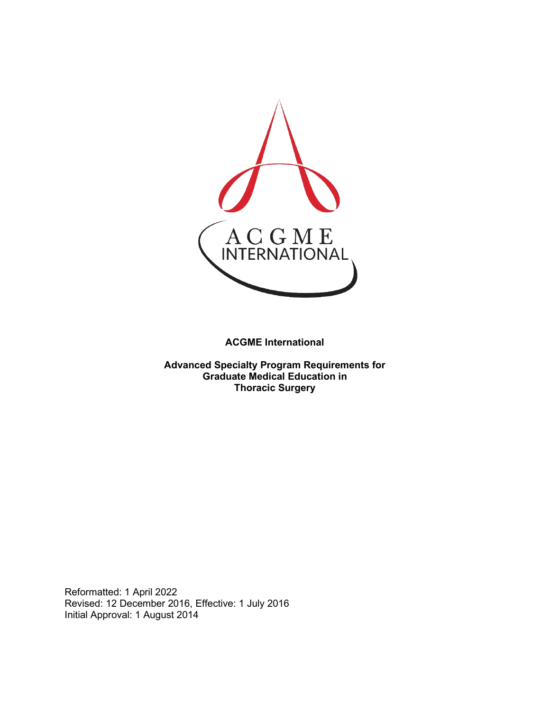

**ACGME International** 

**Advanced Specialty Program Requirements for Graduate Medical Education in Thoracic Surgery**

Reformatted: 1 April 2022 Revised: 12 December 2016, Effective: 1 July 2016 Initial Approval: 1 August 2014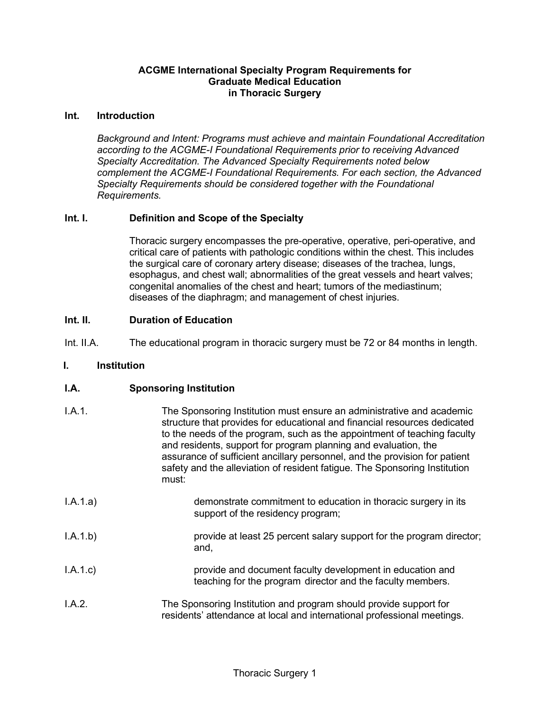## **ACGME International Specialty Program Requirements for Graduate Medical Education in Thoracic Surgery**

#### **Int. Introduction**

*Background and Intent: Programs must achieve and maintain Foundational Accreditation according to the ACGME-I Foundational Requirements prior to receiving Advanced Specialty Accreditation. The Advanced Specialty Requirements noted below complement the ACGME-I Foundational Requirements. For each section, the Advanced Specialty Requirements should be considered together with the Foundational Requirements.*

# **Int. I. Definition and Scope of the Specialty**

Thoracic surgery encompasses the pre-operative, operative, peri-operative, and critical care of patients with pathologic conditions within the chest. This includes the surgical care of coronary artery disease; diseases of the trachea, lungs, esophagus, and chest wall; abnormalities of the great vessels and heart valves; congenital anomalies of the chest and heart; tumors of the mediastinum; diseases of the diaphragm; and management of chest injuries.

## **Int. II. Duration of Education**

Int. II.A. The educational program in thoracic surgery must be 72 or 84 months in length.

#### **I. Institution**

## **I.A. Sponsoring Institution**

| I.A.1.   | The Sponsoring Institution must ensure an administrative and academic<br>structure that provides for educational and financial resources dedicated<br>to the needs of the program, such as the appointment of teaching faculty<br>and residents, support for program planning and evaluation, the<br>assurance of sufficient ancillary personnel, and the provision for patient<br>safety and the alleviation of resident fatigue. The Sponsoring Institution<br>must: |
|----------|------------------------------------------------------------------------------------------------------------------------------------------------------------------------------------------------------------------------------------------------------------------------------------------------------------------------------------------------------------------------------------------------------------------------------------------------------------------------|
| I.A.1.a) | demonstrate commitment to education in thoracic surgery in its<br>support of the residency program;                                                                                                                                                                                                                                                                                                                                                                    |
| I.A.1.b) | provide at least 25 percent salary support for the program director;<br>and,                                                                                                                                                                                                                                                                                                                                                                                           |
| I.A.1.c  | provide and document faculty development in education and<br>teaching for the program director and the faculty members.                                                                                                                                                                                                                                                                                                                                                |
| I.A.2.   | The Sponsoring Institution and program should provide support for<br>residents' attendance at local and international professional meetings.                                                                                                                                                                                                                                                                                                                           |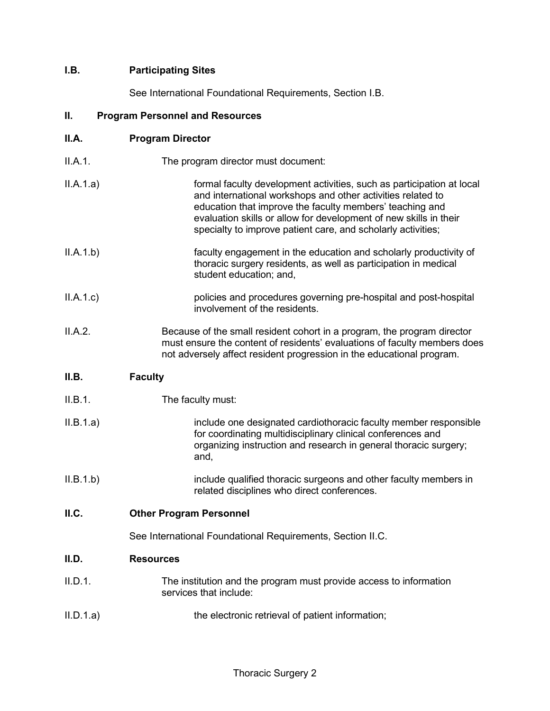# **I.B. Participating Sites**

See International Foundational Requirements, Section I.B.

#### **II. Program Personnel and Resources**

| II.A. | <b>Program Director</b> |
|-------|-------------------------|
|-------|-------------------------|

| II.A.1.<br>The program director must document: |
|------------------------------------------------|
|------------------------------------------------|

- II.A.1.a) formal faculty development activities, such as participation at local and international workshops and other activities related to education that improve the faculty members' teaching and evaluation skills or allow for development of new skills in their specialty to improve patient care, and scholarly activities;
- II.A.1.b) faculty engagement in the education and scholarly productivity of thoracic surgery residents, as well as participation in medical student education; and,
- II.A.1.c) policies and procedures governing pre-hospital and post-hospital involvement of the residents.
- II.A.2. Because of the small resident cohort in a program, the program director must ensure the content of residents' evaluations of faculty members does not adversely affect resident progression in the educational program.

## **II.B. Faculty**

- II.B.1. The faculty must:
- II.B.1.a) include one designated cardiothoracic faculty member responsible for coordinating multidisciplinary clinical conferences and organizing instruction and research in general thoracic surgery; and,
- II.B.1.b) include qualified thoracic surgeons and other faculty members in related disciplines who direct conferences.
- **II.C. Other Program Personnel**

See International Foundational Requirements, Section II.C.

## **II.D. Resources**

- II.D.1. The institution and the program must provide access to information services that include:
- II.D.1.a) the electronic retrieval of patient information;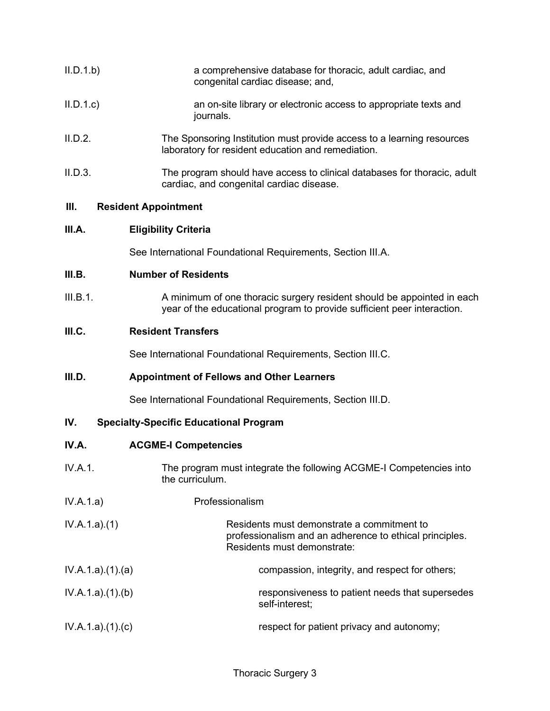| II.D.1.b | a comprehensive database for thoracic, adult cardiac, and<br>congenital cardiac disease; and,                                |
|----------|------------------------------------------------------------------------------------------------------------------------------|
| II.D.1.c | an on-site library or electronic access to appropriate texts and<br>journals.                                                |
| II.D.2.  | The Sponsoring Institution must provide access to a learning resources<br>laboratory for resident education and remediation. |
| II.D.3.  | The program should have access to clinical databases for thoracic, adult<br>cardiac, and congenital cardiac disease.         |

#### **III. Resident Appointment**

## **III.A. Eligibility Criteria**

See International Foundational Requirements, Section III.A.

## **III.B. Number of Residents**

III.B.1. A minimum of one thoracic surgery resident should be appointed in each year of the educational program to provide sufficient peer interaction.

# **III.C. Resident Transfers**

See International Foundational Requirements, Section III.C.

## **III.D. Appointment of Fellows and Other Learners**

See International Foundational Requirements, Section III.D.

## **IV. Specialty-Specific Educational Program**

# **IV.A. ACGME-I Competencies**

- IV.A.1. The program must integrate the following ACGME-I Competencies into the curriculum.
- IV.A.1.a) Professionalism

| IV.A.1.a)(1)    | Residents must demonstrate a commitment to<br>professionalism and an adherence to ethical principles.<br>Residents must demonstrate: |
|-----------------|--------------------------------------------------------------------------------------------------------------------------------------|
| IV.A.1.a)(1)(a) | compassion, integrity, and respect for others;                                                                                       |
| IV.A.1.a)(1)(b) | responsiveness to patient needs that supersedes<br>self-interest:                                                                    |
| IV.A.1.a)(1)(c) | respect for patient privacy and autonomy;                                                                                            |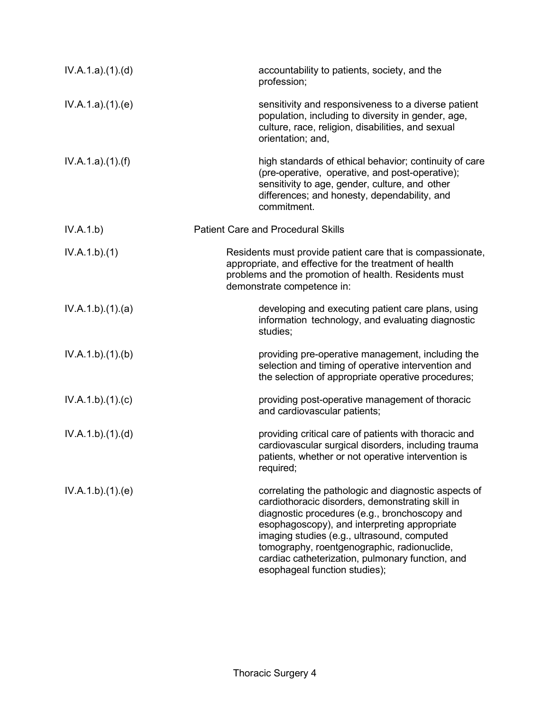| IV.A.1.a)(1)(d) | accountability to patients, society, and the<br>profession;                                                                                                                                                                                                                                                                                                                                  |
|-----------------|----------------------------------------------------------------------------------------------------------------------------------------------------------------------------------------------------------------------------------------------------------------------------------------------------------------------------------------------------------------------------------------------|
| IV.A.1.a)(1)(e) | sensitivity and responsiveness to a diverse patient<br>population, including to diversity in gender, age,<br>culture, race, religion, disabilities, and sexual<br>orientation; and,                                                                                                                                                                                                          |
| IV.A.1.a)(1)(f) | high standards of ethical behavior; continuity of care<br>(pre-operative, operative, and post-operative);<br>sensitivity to age, gender, culture, and other<br>differences; and honesty, dependability, and<br>commitment.                                                                                                                                                                   |
| IV.A.1.b)       | <b>Patient Care and Procedural Skills</b>                                                                                                                                                                                                                                                                                                                                                    |
| IV.A.1.b)(1)    | Residents must provide patient care that is compassionate,<br>appropriate, and effective for the treatment of health<br>problems and the promotion of health. Residents must<br>demonstrate competence in:                                                                                                                                                                                   |
| IV.A.1.b)(1)(a) | developing and executing patient care plans, using<br>information technology, and evaluating diagnostic<br>studies;                                                                                                                                                                                                                                                                          |
| IV.A.1.b)(1)(b) | providing pre-operative management, including the<br>selection and timing of operative intervention and<br>the selection of appropriate operative procedures;                                                                                                                                                                                                                                |
| IV.A.1.b)(1)(c) | providing post-operative management of thoracic<br>and cardiovascular patients;                                                                                                                                                                                                                                                                                                              |
| IV.A.1.b)(1)(d) | providing critical care of patients with thoracic and<br>cardiovascular surgical disorders, including trauma<br>patients, whether or not operative intervention is<br>required;                                                                                                                                                                                                              |
| IV.A.1.b)(1)(e) | correlating the pathologic and diagnostic aspects of<br>cardiothoracic disorders, demonstrating skill in<br>diagnostic procedures (e.g., bronchoscopy and<br>esophagoscopy), and interpreting appropriate<br>imaging studies (e.g., ultrasound, computed<br>tomography, roentgenographic, radionuclide,<br>cardiac catheterization, pulmonary function, and<br>esophageal function studies); |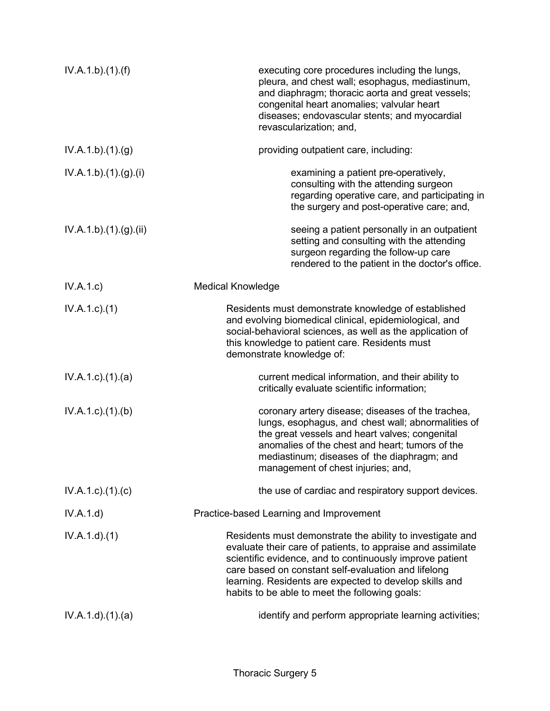| IV.A.1.b)(1)(f)           | executing core procedures including the lungs,<br>pleura, and chest wall; esophagus, mediastinum,<br>and diaphragm; thoracic aorta and great vessels;<br>congenital heart anomalies; valvular heart<br>diseases; endovascular stents; and myocardial<br>revascularization; and,                                                                         |
|---------------------------|---------------------------------------------------------------------------------------------------------------------------------------------------------------------------------------------------------------------------------------------------------------------------------------------------------------------------------------------------------|
| IV.A.1.b)(1)(g)           | providing outpatient care, including:                                                                                                                                                                                                                                                                                                                   |
| IV.A.1.b)(1)(g)(i)        | examining a patient pre-operatively,<br>consulting with the attending surgeon<br>regarding operative care, and participating in<br>the surgery and post-operative care; and,                                                                                                                                                                            |
| IV.A.1.b)(1)(g)(ii)       | seeing a patient personally in an outpatient<br>setting and consulting with the attending<br>surgeon regarding the follow-up care<br>rendered to the patient in the doctor's office.                                                                                                                                                                    |
| IV.A.1.c)                 | <b>Medical Knowledge</b>                                                                                                                                                                                                                                                                                                                                |
| $IV.A.1.c.$ (1)           | Residents must demonstrate knowledge of established<br>and evolving biomedical clinical, epidemiological, and<br>social-behavioral sciences, as well as the application of<br>this knowledge to patient care. Residents must<br>demonstrate knowledge of:                                                                                               |
| $IV.A.1.c$ . $(1).$ $(a)$ | current medical information, and their ability to<br>critically evaluate scientific information;                                                                                                                                                                                                                                                        |
| $IV.A.1.c$ . $(1).$ (b)   | coronary artery disease; diseases of the trachea,<br>lungs, esophagus, and chest wall; abnormalities of<br>the great vessels and heart valves; congenital<br>anomalies of the chest and heart; tumors of the<br>mediastinum; diseases of the diaphragm; and<br>management of chest injuries; and,                                                       |
| $IV.A.1.c$ ). $(1).$ (c)  | the use of cardiac and respiratory support devices.                                                                                                                                                                                                                                                                                                     |
| IV.A.1.d)                 | Practice-based Learning and Improvement                                                                                                                                                                                                                                                                                                                 |
| IV.A.1.d)(1)              | Residents must demonstrate the ability to investigate and<br>evaluate their care of patients, to appraise and assimilate<br>scientific evidence, and to continuously improve patient<br>care based on constant self-evaluation and lifelong<br>learning. Residents are expected to develop skills and<br>habits to be able to meet the following goals: |
| IV.A.1.d)(1)(a)           | identify and perform appropriate learning activities;                                                                                                                                                                                                                                                                                                   |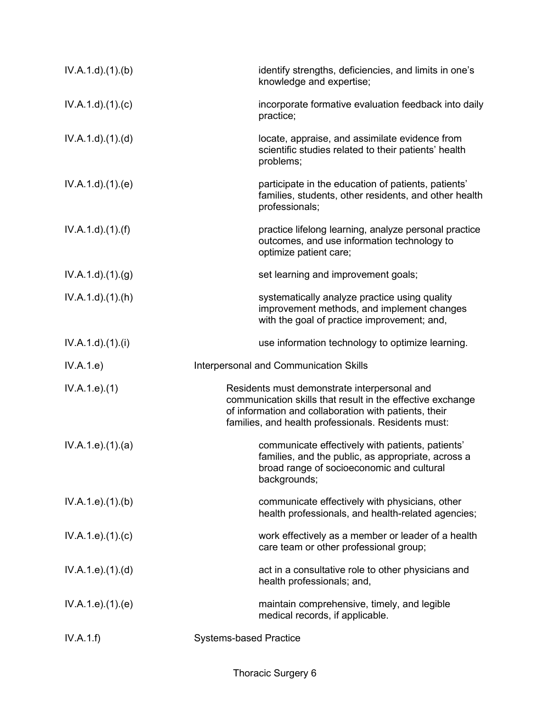| IV.A.1.d.(1).(b)       | identify strengths, deficiencies, and limits in one's<br>knowledge and expertise;                                                                                                                                          |
|------------------------|----------------------------------------------------------------------------------------------------------------------------------------------------------------------------------------------------------------------------|
| IV.A.1.d)(1)(c)        | incorporate formative evaluation feedback into daily<br>practice;                                                                                                                                                          |
| IV.A.1.d.(1).(d)       | locate, appraise, and assimilate evidence from<br>scientific studies related to their patients' health<br>problems;                                                                                                        |
| IV.A.1.d.(1).(e)       | participate in the education of patients, patients'<br>families, students, other residents, and other health<br>professionals;                                                                                             |
| $IV.A.1.d$ . $(1).(f)$ | practice lifelong learning, analyze personal practice<br>outcomes, and use information technology to<br>optimize patient care;                                                                                             |
| IV.A.1.d)(1)(g)        | set learning and improvement goals;                                                                                                                                                                                        |
| IV.A.1.d)(1)(h)        | systematically analyze practice using quality<br>improvement methods, and implement changes<br>with the goal of practice improvement; and,                                                                                 |
| IV.A.1.d)(1)(i)        | use information technology to optimize learning.                                                                                                                                                                           |
|                        |                                                                                                                                                                                                                            |
| IV.A.1.e)              | <b>Interpersonal and Communication Skills</b>                                                                                                                                                                              |
| IV.A.1.e. (1)          | Residents must demonstrate interpersonal and<br>communication skills that result in the effective exchange<br>of information and collaboration with patients, their<br>families, and health professionals. Residents must: |
| IV.A.1.e. (1). (a)     | communicate effectively with patients, patients'<br>families, and the public, as appropriate, across a<br>broad range of socioeconomic and cultural<br>backgrounds;                                                        |
| IV.A.1.e. (1). (b)     | communicate effectively with physicians, other<br>health professionals, and health-related agencies;                                                                                                                       |
| IV.A.1.e. (1). (c)     | work effectively as a member or leader of a health<br>care team or other professional group;                                                                                                                               |
| IV.A.1.e. (1). (d)     | act in a consultative role to other physicians and<br>health professionals; and,                                                                                                                                           |
| IV.A.1.e. (1). (e)     | maintain comprehensive, timely, and legible<br>medical records, if applicable.                                                                                                                                             |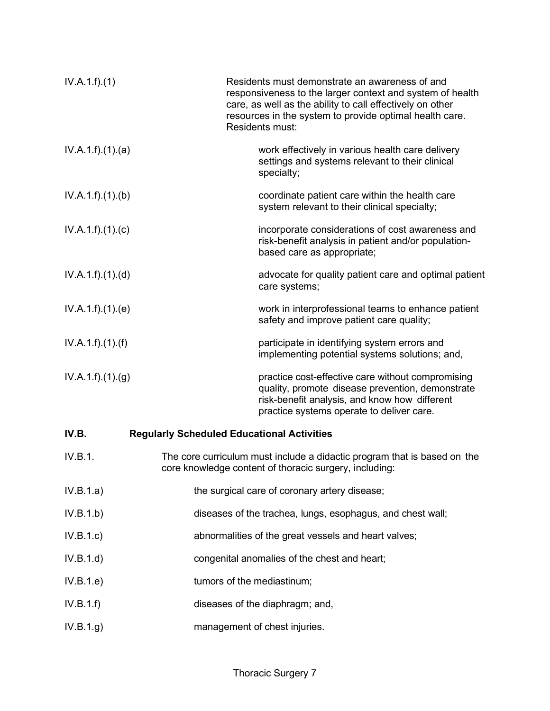| IV.A.1.f)(1)    | Residents must demonstrate an awareness of and<br>responsiveness to the larger context and system of health<br>care, as well as the ability to call effectively on other<br>resources in the system to provide optimal health care.<br>Residents must: |
|-----------------|--------------------------------------------------------------------------------------------------------------------------------------------------------------------------------------------------------------------------------------------------------|
| IV.A.1.f)(1)(a) | work effectively in various health care delivery<br>settings and systems relevant to their clinical<br>specialty;                                                                                                                                      |
| IV.A.1.f)(1)(b) | coordinate patient care within the health care<br>system relevant to their clinical specialty;                                                                                                                                                         |
| IV.A.1.f)(1)(c) | incorporate considerations of cost awareness and<br>risk-benefit analysis in patient and/or population-<br>based care as appropriate;                                                                                                                  |
| IV.A.1.f)(1)(d) | advocate for quality patient care and optimal patient<br>care systems;                                                                                                                                                                                 |
| IV.A.1.f)(1)(e) | work in interprofessional teams to enhance patient<br>safety and improve patient care quality;                                                                                                                                                         |
| IV.A.1.f)(1)(f) | participate in identifying system errors and<br>implementing potential systems solutions; and,                                                                                                                                                         |
| IV.A.1.f)(1)(g) | practice cost-effective care without compromising<br>quality, promote disease prevention, demonstrate<br>risk-benefit analysis, and know how different<br>practice systems operate to deliver care.                                                    |
| IV.B.           | <b>Regularly Scheduled Educational Activities</b>                                                                                                                                                                                                      |
| IV.B.1.         | The core curriculum must include a didactic program that is based on the<br>core knowledge content of thoracic surgery, including:                                                                                                                     |
| IV.B.1.a)       | the surgical care of coronary artery disease;                                                                                                                                                                                                          |
| IV.B.1.b)       | diseases of the trachea, lungs, esophagus, and chest wall;                                                                                                                                                                                             |
| IV.B.1.c        | abnormalities of the great vessels and heart valves;                                                                                                                                                                                                   |
| IV.B.1.d)       | congenital anomalies of the chest and heart;                                                                                                                                                                                                           |
| IV.B.1.e)       | tumors of the mediastinum;                                                                                                                                                                                                                             |
| IV.B.1.f)       | diseases of the diaphragm; and,                                                                                                                                                                                                                        |
| IV.B.1.g)       | management of chest injuries.                                                                                                                                                                                                                          |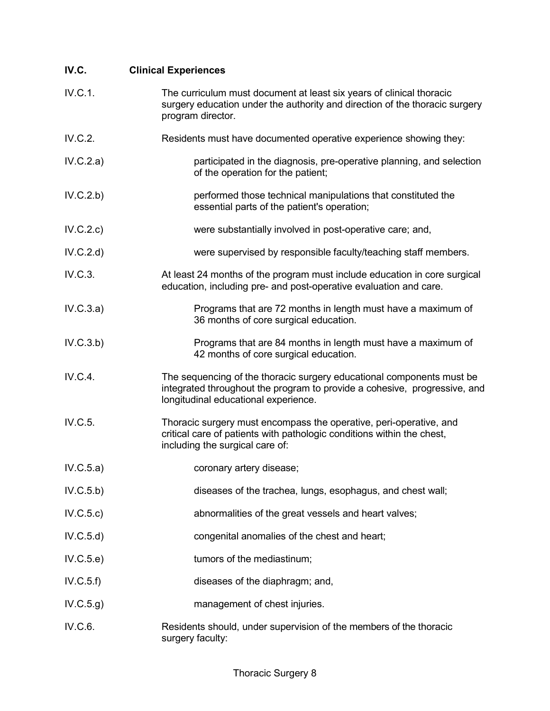| IV.C.     | <b>Clinical Experiences</b>                                                                                                                                                                |
|-----------|--------------------------------------------------------------------------------------------------------------------------------------------------------------------------------------------|
| IV.C.1.   | The curriculum must document at least six years of clinical thoracic<br>surgery education under the authority and direction of the thoracic surgery<br>program director.                   |
| IV.C.2.   | Residents must have documented operative experience showing they:                                                                                                                          |
| IV.C.2.a) | participated in the diagnosis, pre-operative planning, and selection<br>of the operation for the patient;                                                                                  |
| IV.C.2.b) | performed those technical manipulations that constituted the<br>essential parts of the patient's operation;                                                                                |
| IV.C.2.c) | were substantially involved in post-operative care; and,                                                                                                                                   |
| IV.C.2.d) | were supervised by responsible faculty/teaching staff members.                                                                                                                             |
| IV.C.3.   | At least 24 months of the program must include education in core surgical<br>education, including pre- and post-operative evaluation and care.                                             |
| IV.C.3.a) | Programs that are 72 months in length must have a maximum of<br>36 months of core surgical education.                                                                                      |
| IV.C.3.b) | Programs that are 84 months in length must have a maximum of<br>42 months of core surgical education.                                                                                      |
| IV.C.4.   | The sequencing of the thoracic surgery educational components must be<br>integrated throughout the program to provide a cohesive, progressive, and<br>longitudinal educational experience. |
| IV.C.5.   | Thoracic surgery must encompass the operative, peri-operative, and<br>critical care of patients with pathologic conditions within the chest,<br>including the surgical care of:            |
| IV.C.5.a) | coronary artery disease;                                                                                                                                                                   |
| IV.C.5.b) | diseases of the trachea, lungs, esophagus, and chest wall;                                                                                                                                 |
| IV.C.5.c) | abnormalities of the great vessels and heart valves;                                                                                                                                       |
| IV.C.5.d) | congenital anomalies of the chest and heart;                                                                                                                                               |
| IV.C.5.e) | tumors of the mediastinum;                                                                                                                                                                 |
| IV.C.5.f) | diseases of the diaphragm; and,                                                                                                                                                            |
| IV.C.5.g) | management of chest injuries.                                                                                                                                                              |
| IV.C.6.   | Residents should, under supervision of the members of the thoracic<br>surgery faculty:                                                                                                     |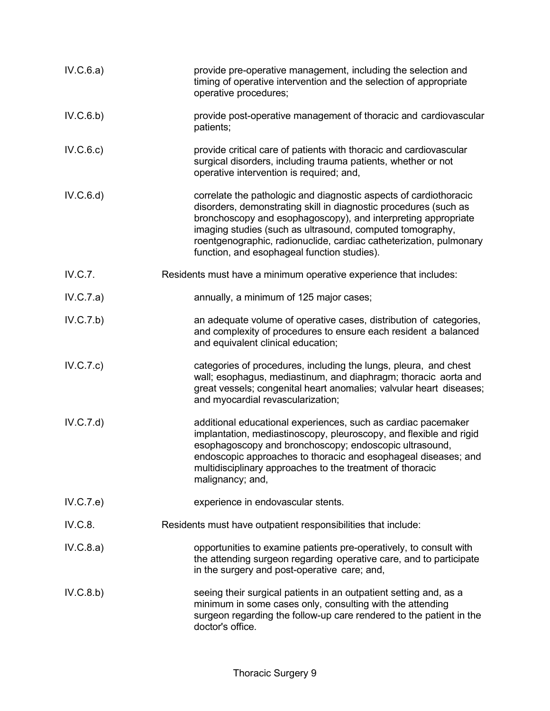| IV.C.6.a) | provide pre-operative management, including the selection and<br>timing of operative intervention and the selection of appropriate<br>operative procedures;                                                                                                                                                                                                                              |
|-----------|------------------------------------------------------------------------------------------------------------------------------------------------------------------------------------------------------------------------------------------------------------------------------------------------------------------------------------------------------------------------------------------|
| IV.C.6.b) | provide post-operative management of thoracic and cardiovascular<br>patients;                                                                                                                                                                                                                                                                                                            |
| IV.C.6.c) | provide critical care of patients with thoracic and cardiovascular<br>surgical disorders, including trauma patients, whether or not<br>operative intervention is required; and,                                                                                                                                                                                                          |
| IV.C.6.d) | correlate the pathologic and diagnostic aspects of cardiothoracic<br>disorders, demonstrating skill in diagnostic procedures (such as<br>bronchoscopy and esophagoscopy), and interpreting appropriate<br>imaging studies (such as ultrasound, computed tomography,<br>roentgenographic, radionuclide, cardiac catheterization, pulmonary<br>function, and esophageal function studies). |
| IV.C.7.   | Residents must have a minimum operative experience that includes:                                                                                                                                                                                                                                                                                                                        |
| IV.C.7.a) | annually, a minimum of 125 major cases;                                                                                                                                                                                                                                                                                                                                                  |
| IV.C.7.b) | an adequate volume of operative cases, distribution of categories,<br>and complexity of procedures to ensure each resident a balanced<br>and equivalent clinical education;                                                                                                                                                                                                              |
| IV.C.7.c) | categories of procedures, including the lungs, pleura, and chest<br>wall; esophagus, mediastinum, and diaphragm; thoracic aorta and<br>great vessels; congenital heart anomalies; valvular heart diseases;<br>and myocardial revascularization;                                                                                                                                          |
| IV.C.7.d) | additional educational experiences, such as cardiac pacemaker<br>implantation, mediastinoscopy, pleuroscopy, and flexible and rigid<br>esophagoscopy and bronchoscopy; endoscopic ultrasound,<br>endoscopic approaches to thoracic and esophageal diseases; and<br>multidisciplinary approaches to the treatment of thoracic<br>malignancy; and,                                         |
| IV.C.7.e) | experience in endovascular stents.                                                                                                                                                                                                                                                                                                                                                       |
| IV.C.8.   | Residents must have outpatient responsibilities that include:                                                                                                                                                                                                                                                                                                                            |
| IV.C.8.a) | opportunities to examine patients pre-operatively, to consult with<br>the attending surgeon regarding operative care, and to participate<br>in the surgery and post-operative care; and,                                                                                                                                                                                                 |
| IV.C.8.b) | seeing their surgical patients in an outpatient setting and, as a<br>minimum in some cases only, consulting with the attending<br>surgeon regarding the follow-up care rendered to the patient in the<br>doctor's office.                                                                                                                                                                |